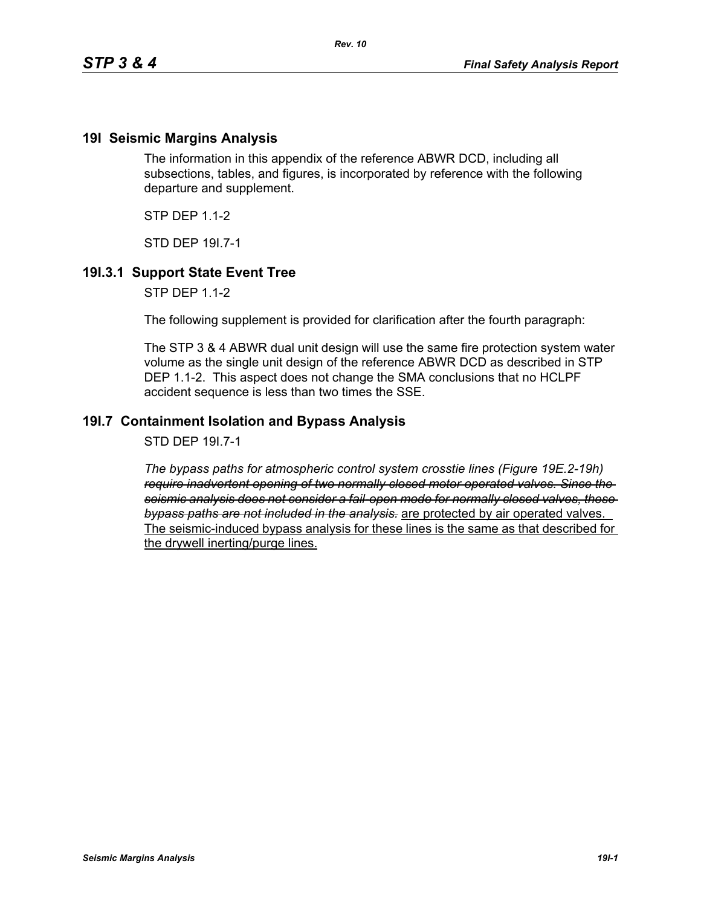## **19I Seismic Margins Analysis**

The information in this appendix of the reference ABWR DCD, including all subsections, tables, and figures, is incorporated by reference with the following departure and supplement.

 $STP$  DFP 11-2

STD DEP 19I.7-1

## **19I.3.1 Support State Event Tree**

STP DEP 1.1-2

The following supplement is provided for clarification after the fourth paragraph:

The STP 3 & 4 ABWR dual unit design will use the same fire protection system water volume as the single unit design of the reference ABWR DCD as described in STP DEP 1.1-2. This aspect does not change the SMA conclusions that no HCLPF accident sequence is less than two times the SSE.

## **19I.7 Containment Isolation and Bypass Analysis**

STD DEP 19I.7-1

*The bypass paths for atmospheric control system crosstie lines (Figure 19E.2-19h) require inadvertent opening of two normally closed motor operated valves. Since the seismic analysis does not consider a fail-open mode for normally closed valves, these bypass paths are not included in the analysis.* are protected by air operated valves. The seismic-induced bypass analysis for these lines is the same as that described for the drywell inerting/purge lines.